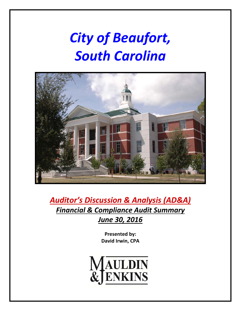# *City of Beaufort, South Carolina*



*Auditor's Discussion & Analysis (AD&A) Financial & Compliance Audit Summary June 30, 2016*

> **Presented by: David Irwin, CPA**

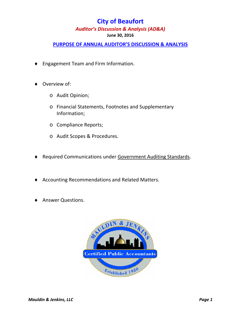#### **June 30, 2016**

### **PURPOSE OF ANNUAL AUDITOR'S DISCUSSION & ANALYSIS**

- ◆ Engagement Team and Firm Information.
- Overview of:
	- o Audit Opinion;
	- o Financial Statements, Footnotes and Supplementary Information;
	- o Compliance Reports;
	- o Audit Scopes & Procedures.
- ◆ Required Communications under Government Auditing Standards.
- Accounting Recommendations and Related Matters.
- Answer Questions.

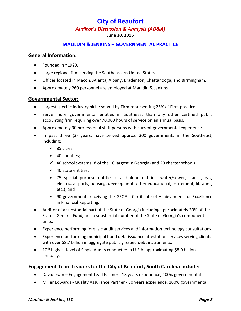#### **June 30, 2016**

#### **MAULDIN & JENKINS – GOVERNMENTAL PRACTICE**

#### **General Information:**

- Founded in ~1920.
- Large regional firm serving the Southeastern United States.
- Offices located in Macon, Atlanta, Albany, Bradenton, Chattanooga, and Birmingham.
- Approximately 260 personnel are employed at Mauldin & Jenkins.

#### **Governmental Sector:**

- Largest specific industry niche served by Firm representing 25% of Firm practice.
- Serve more governmental entities in Southeast than any other certified public accounting firm requiring over 70,000 hours of service on an annual basis.
- Approximately 90 professional staff persons with current governmental experience.
- In past three (3) years, have served approx. 300 governments in the Southeast, including:
	- $\checkmark$  85 cities:
	- $\checkmark$  40 counties;
	- $\checkmark$  40 school systems (8 of the 10 largest in Georgia) and 20 charter schools;
	- $\checkmark$  40 state entities;
	- $\checkmark$  75 special purpose entities (stand-alone entities: water/sewer, transit, gas, electric, airports, housing, development, other educational, retirement, libraries, etc.); and
	- $\checkmark$  90 governments receiving the GFOA's Certificate of Achievement for Excellence in Financial Reporting.
- Auditor of a substantial part of the State of Georgia including approximately 30% of the State's General Fund, and a substantial number of the State of Georgia's component units.
- Experience performing forensic audit services and information technology consultations.
- Experience performing municipal bond debt issuance attestation services serving clients with over \$8.7 billion in aggregate publicly issued debt instruments.
- 10<sup>th</sup> highest level of Single Audits conducted in U.S.A. approximating \$8.0 billion annually.

#### **Engagement Team Leaders for the City of Beaufort, South Carolina Include:**

- David Irwin Engagement Lead Partner ‐ 13 years experience, 100% governmental
- Miller Edwards Quality Assurance Partner 30 years experience, 100% governmental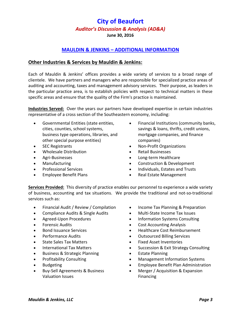**June 30, 2016**

### **MAULDIN & JENKINS – ADDITIONAL INFORMATION**

#### **Other Industries & Services by Mauldin & Jenkins:**

Each of Mauldin & Jenkins' offices provides a wide variety of services to a broad range of clientele. We have partners and managers who are responsible for specialized practice areas of auditing and accounting, taxes and management advisory services. Their purpose, as leaders in the particular practice area, is to establish policies with respect to technical matters in these specific areas and ensure that the quality of the Firm's practice is maintained.

**Industries Served:** Over the years our partners have developed expertise in certain industries representative of a cross section of the Southeastern economy, including:

- Governmental Entities (state entities, cities, counties, school systems, business type operations, libraries, and other special purpose entities)
- SEC Registrants
- Wholesale Distribution
- Agri‐Businesses
- **Manufacturing**
- Professional Services
- Employee Benefit Plans
- Financial Institutions (community banks, savings & loans, thrifts, credit unions, mortgage companies, and finance companies)
- Non‐Profit Organizations
- Retail Businesses
- Long‐term Healthcare
- Construction & Development
- Individuals, Estates and Trusts
- Real Estate Management

**Services Provided:** This diversity of practice enables our personnel to experience a wide variety of business, accounting and tax situations. We provide the traditional and not‐so‐traditional services such as:

- Financial Audit / Review / Compilation
- Compliance Audits & Single Audits
- Agreed‐Upon Procedures
- Forensic Audits
- Bond Issuance Services
- Performance Audits
- State Sales Tax Matters
- International Tax Matters
- Business & Strategic Planning
- Profitability Consulting
- Budgeting
- Buy-Sell Agreements & Business Valuation Issues
- Income Tax Planning & Preparation
- Multi-State Income Tax Issues
- Information Systems Consulting
- Cost Accounting Analysis
- Healthcare Cost Reimbursement
- Outsourced Billing Services
- **•** Fixed Asset Inventories
- Succession & Exit Strategy Consulting
- Estate Planning
- Management Information Systems
- Employee Benefit Plan Administration
- Merger / Acquisition & Expansion **Financing**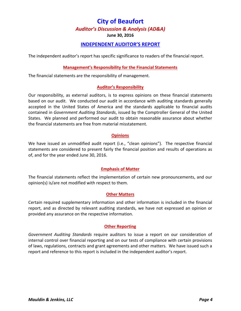**June 30, 2016**

#### **INDEPENDENT AUDITOR'S REPORT**

The independent auditor's report has specific significance to readers of the financial report.

#### **Management's Responsibility for the Financial Statements**

The financial statements are the responsibility of management.

#### **Auditor's Responsibility**

Our responsibility, as external auditors, is to express opinions on these financial statements based on our audit. We conducted our audit in accordance with auditing standards generally accepted in the United States of America and the standards applicable to financial audits contained in *Government Auditing Standards*, issued by the Comptroller General of the United States. We planned and performed our audit to obtain reasonable assurance about whether the financial statements are free from material misstatement.

#### **Opinions**

We have issued an unmodified audit report (i.e., "clean opinions"). The respective financial statements are considered to present fairly the financial position and results of operations as of, and for the year ended June 30, 2016.

#### **Emphasis of Matter**

The financial statements reflect the implementation of certain new pronouncements, and our opinion(s) is/are not modified with respect to them.

#### **Other Matters**

Certain required supplementary information and other information is included in the financial report, and as directed by relevant auditing standards, we have not expressed an opinion or provided any assurance on the respective information.

#### **Other Reporting**

*Government Auditing Standards* require auditors to issue a report on our consideration of internal control over financial reporting and on our tests of compliance with certain provisions of laws, regulations, contracts and grant agreements and other matters. We have issued such a report and reference to this report is included in the independent auditor's report.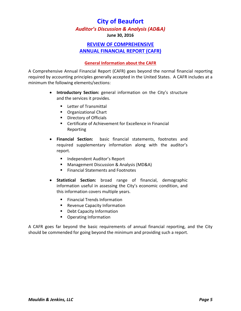**June 30, 2016**

### **REVIEW OF COMPREHENSIVE ANNUAL FINANCIAL REPORT (CAFR)**

#### **General Information about the CAFR**

A Comprehensive Annual Financial Report (CAFR) goes beyond the normal financial reporting required by accounting principles generally accepted in the United States. A CAFR includes at a minimum the following elements/sections:

- **Introductory Section:** general information on the City's structure and the services it provides.
	- **Letter of Transmittal**
	- **Cannizational Chart**
	- **Directory of Officials**
	- Certificate of Achievement for Excellence in Financial Reporting
- **Financial Section:** basic financial statements, footnotes and required supplementary information along with the auditor's report.
	- Independent Auditor's Report
	- Management Discussion & Analysis (MD&A)
	- **Financial Statements and Footnotes**
- **Statistical Section:** broad range of financial, demographic information useful in assessing the City's economic condition, and this information covers multiple years.
	- **Financial Trends Information**
	- **Revenue Capacity Information**
	- **•** Debt Capacity Information
	- **•** Operating Information

A CAFR goes far beyond the basic requirements of annual financial reporting, and the City should be commended for going beyond the minimum and providing such a report.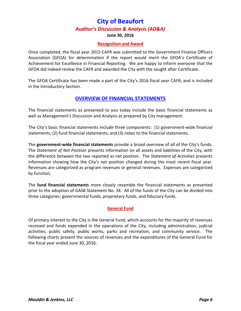**June 30, 2016**

#### **Recognition and Award**

Once completed, the fiscal year 2015 CAFR was submitted to the Government Finance Officers Association (GFOA) for determination if the report would merit the GFOA's Certificate of Achievement for Excellence in Financial Reporting. We are happy to inform everyone that the GFOA did indeed review the CAFR and awarded the City with the sought after Certificate.

The GFOA Certificate has been made a part of the City's 2016 fiscal year CAFR, and is included in the Introductory Section.

#### **OVERVIEW OF FINANCIAL STATEMENTS**

The financial statements as presented to you today include the basic financial statements as well as Management's Discussion and Analysis as prepared by City management.

The City's basic financial statements include three components: (1) government‐wide financial statements; (2) fund financial statements; and (3) notes to the financial statements.

The **government‐wide financial statements** provide a broad overview of all of the City's funds. The *Statement of Net Position* presents information on all assets and liabilities of the City, with the difference between the two reported as net position. The *Statement of Activities* presents information showing how the City's net position changed during the most recent fiscal year. Revenues are categorized as program revenues or general revenues. Expenses are categorized by function.

The **fund financial statements** more closely resemble the financial statements as presented prior to the adoption of GASB Statement No. 34. All of the funds of the City can be divided into three categories: governmental funds, proprietary funds, and fiduciary funds.

#### **General Fund**

Of primary interest to the City is the General Fund, which accounts for the majority of revenues received and funds expended in the operations of the City, including administration, judicial activities, public safety, public works, parks and recreation, and community service. The following charts present the sources of revenues and the expenditures of the General Fund for the fiscal year ended June 30, 2016: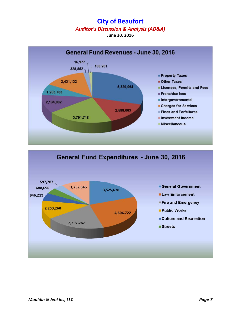**June 30, 2016**



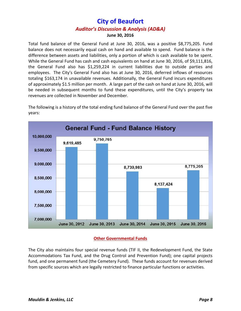Total fund balance of the General Fund at June 30, 2016, was a positive \$8,775,205. Fund balance does not necessarily equal cash on hand and available to spend. Fund balance is the difference between assets and liabilities, only a portion of which is cash available to be spent. While the General Fund has cash and cash equivalents on hand at June 30, 2016, of \$9,111,816, the General Fund also has \$1,259,224 in current liabilities due to outside parties and employees. The City's General Fund also has at June 30, 2016, deferred inflows of resources totaling \$163,174 in unavailable revenues. Additionally, the General Fund incurs expenditures of approximately \$1.5 million per month. A large part of the cash on hand at June 30, 2016, will be needed in subsequent months to fund these expenditures, until the City's property tax revenues are collected in November and December.





#### **Other Governmental Funds**

The City also maintains four special revenue funds (TIF II, the Redevelopment Fund, the State Accommodations Tax Fund, and the Drug Control and Prevention Fund); one capital projects fund, and one permanent fund (the Cemetery Fund). These funds account for revenues derived from specific sources which are legally restricted to finance particular functions or activities.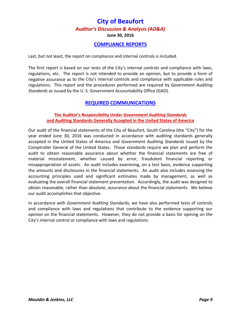**June 30, 2016**

#### **COMPLIANCE REPORTS**

Last, but not least, the report on compliance and internal controls is included.

The first report is based on our tests of the City's internal controls and compliance with laws, regulations, etc. The report is not intended to provide an opinion, but to provide a form of negative assurance as to the City's internal controls and compliance with applicable rules and regulations. This report and the procedures performed are required by *Government Auditing Standards* as issued by the U. S. Government Accountability Office (GAO).

#### **REQUIRED COMMUNICATIONS**

#### **The Auditor's Responsibility Under** *Government Auditing Standards*  **and Auditing Standards Generally Accepted in the United States of America**

Our audit of the financial statements of the City of Beaufort, South Carolina (the "City") for the year ended June 30, 2016 was conducted in accordance with auditing standards generally accepted in the United States of America and *Government Auditing Standards* issued by the Comptroller General of the United States. Those standards require we plan and perform the audit to obtain reasonable assurance about whether the financial statements are free of material misstatement, whether caused by error, fraudulent financial reporting or misappropriation of assets. An audit includes examining, on a test basis, evidence supporting the amounts and disclosures in the financial statements. An audit also includes assessing the accounting principles used and significant estimates made by management, as well as evaluating the overall financial statement presentation. Accordingly, the audit was designed to obtain reasonable, rather than absolute, assurance about the financial statements. We believe our audit accomplishes that objective.

In accordance with *Government Auditing* Standards, we have also performed tests of controls and compliance with laws and regulations that contribute to the evidence supporting our opinion on the financial statements. However, they do not provide a basis for opining on the City's internal control or compliance with laws and regulations.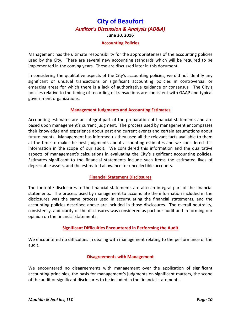#### **Accounting Policies**

Management has the ultimate responsibility for the appropriateness of the accounting policies used by the City. There are several new accounting standards which will be required to be implemented in the coming years. These are discussed later in this document.

In considering the qualitative aspects of the City's accounting policies, we did not identify any significant or unusual transactions or significant accounting policies in controversial or emerging areas for which there is a lack of authoritative guidance or consensus. The City's policies relative to the timing of recording of transactions are consistent with GAAP and typical government organizations.

#### **Management Judgments and Accounting Estimates**

Accounting estimates are an integral part of the preparation of financial statements and are based upon management's current judgment. The process used by management encompasses their knowledge and experience about past and current events and certain assumptions about future events. Management has informed us they used all the relevant facts available to them at the time to make the best judgments about accounting estimates and we considered this information in the scope of our audit. We considered this information and the qualitative aspects of management's calculations in evaluating the City's significant accounting policies. Estimates significant to the financial statements include such items the estimated lives of depreciable assets, and the estimated allowance for uncollectible accounts.

#### **Financial Statement Disclosures**

The footnote disclosures to the financial statements are also an integral part of the financial statements. The process used by management to accumulate the information included in the disclosures was the same process used in accumulating the financial statements, and the accounting policies described above are included in those disclosures. The overall neutrality, consistency, and clarity of the disclosures was considered as part our audit and in forming our opinion on the financial statements.

#### **Significant Difficulties Encountered in Performing the Audit**

We encountered no difficulties in dealing with management relating to the performance of the audit.

#### **Disagreements with Management**

We encountered no disagreements with management over the application of significant accounting principles, the basis for management's judgments on significant matters, the scope of the audit or significant disclosures to be included in the financial statements.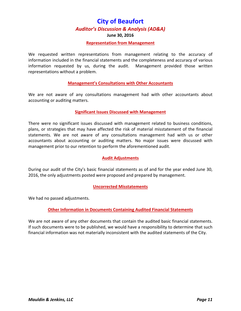#### **June 30, 2016**

#### **Representation from Management**

We requested written representations from management relating to the accuracy of information included in the financial statements and the completeness and accuracy of various information requested by us, during the audit. Management provided those written representations without a problem.

#### **Management's Consultations with Other Accountants**

We are not aware of any consultations management had with other accountants about accounting or auditing matters.

#### **Significant Issues Discussed with Management**

There were no significant issues discussed with management related to business conditions, plans, or strategies that may have affected the risk of material misstatement of the financial statements. We are not aware of any consultations management had with us or other accountants about accounting or auditing matters. No major issues were discussed with management prior to our retention to perform the aforementioned audit.

#### **Audit Adjustments**

During our audit of the City's basic financial statements as of and for the year ended June 30, 2016, the only adjustments posted were proposed and prepared by management.

#### **Uncorrected Misstatements**

We had no passed adjustments.

#### **Other Information in Documents Containing Audited Financial Statements**

We are not aware of any other documents that contain the audited basic financial statements. If such documents were to be published, we would have a responsibility to determine that such financial information was not materially inconsistent with the audited statements of the City.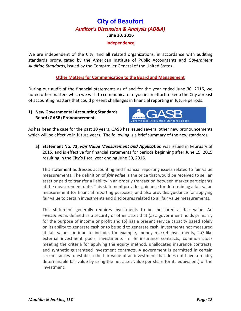#### **Independence**

We are independent of the City, and all related organizations, in accordance with auditing standards promulgated by the American Institute of Public Accountants and *Government Auditing Standards*, issued by the Comptroller General of the United States.

#### **Other Matters for Communication to the Board and Management**

During our audit of the financial statements as of and for the year ended June 30, 2016, we noted other matters which we wish to communicate to you in an effort to keep the City abreast of accounting matters that could present challenges in financial reporting in future periods.

#### **1) New Governmental Accounting Standards Board (GASB) Pronouncements**



As has been the case for the past 10 years, GASB has issued several other new pronouncements which will be effective in future years. The following is a brief summary of the new standards:

**a) Statement No. 72,** *Fair Value Measurement and Application* was issued in February of 2015, and is effective for financial statements for periods beginning after June 15, 2015 resulting in the City's fiscal year ending June 30, 2016.

This statement addresses accounting and financial reporting issues related to fair value measurements. The definition of *fair value* is the price that would be received to sell an asset or paid to transfer a liability in an orderly transaction between market participants at the measurement date. This statement provides guidance for determining a fair value measurement for financial reporting purposes, and also provides guidance for applying fair value to certain investments and disclosures related to all fair value measurements.

This statement generally requires investments to be measured at fair value. An *investment* is defined as a security or other asset that (a) a government holds primarily for the purpose of income or profit and (b) has a present service capacity based solely on its ability to generate cash or to be sold to generate cash. Investments not measured at fair value continue to include, for example, money market investments, 2a7‐like external investment pools, investments in life insurance contracts, common stock meeting the criteria for applying the equity method, unallocated insurance contracts, and synthetic guaranteed investment contracts. A government is permitted in certain circumstances to establish the fair value of an investment that does not have a readily determinable fair value by using the net asset value per share (or its equivalent) of the investment.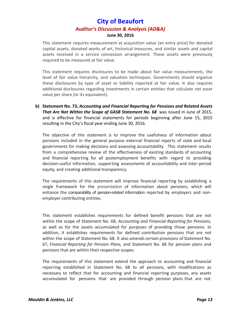This statement requires measurement at acquisition value (an entry price) for donated capital assets, donated works of art, historical treasures, and similar assets and capital assets received in a service concession arrangement. These assets were previously required to be measured at fair value.

This statement requires disclosures to be made about fair value measurements, the level of fair value hierarchy, and valuation techniques. Governments should organize these disclosures by type of asset or liability reported at fair value. It also requires additional disclosures regarding investments in certain entities that calculate net asset value per share (or its equivalent).

**b) Statement No. 73,** *Accounting and Financial Reporting for Pensions and Related Assets That Are Not Within the Scope of GASB Statement No. 68* was issued in June of 2015, and is effective for financial statements for periods beginning after June 15, 2015 resulting in the City's fiscal year ending June 30, 2016.

The objective of this statement is to improve the usefulness of information about pensions included in the general purpose external financial reports of state and local governments for making decisions and assessing accountability. This statement results from a comprehensive review of the effectiveness of existing standards of accounting and financial reporting for all postemployment benefits with regard to providing decision‐useful information, supporting assessments of accountability and inter‐period equity, and creating additional transparency.

The requirements of this statement will improve financial reporting by establishing a single framework for the presentation of information about pensions, which will enhance the comparability of pension-related information reported by employers and nonemployer contributing entities.

This statement establishes requirements for defined benefit pensions that are not within the scope of Statement No. 68, *Accounting and Financial Reporting for Pensions,* as well as for the assets accumulated for purposes of providing those pensions. In addition, it establishes requirements for defined contribution pensions that are not within the scope of Statement No. 68. It also amends certain provisions of Statement No. 67, *Financial Reporting for Pension Plans,* and Statement No. 68 for pension plans and pensions that are within their respective scopes.

The requirements of this statement extend the approach to accounting and financial reporting established in Statement No. 68 to all pensions, with modifications as necessary to reflect that for accounting and financial reporting purposes, any assets accumulated for pensions that are provided through pension plans that are not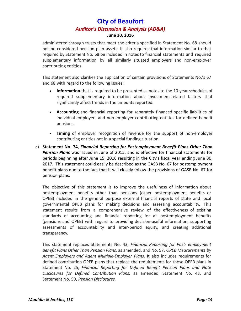administered through trusts that meet the criteria specified in Statement No. 68 should not be considered pension plan assets. It also requires that information similar to that required by Statement No. 68 be included in notes to financial statements and required supplementary information by all similarly situated employers and non-employer contributing entities.

This statement also clarifies the application of certain provisions of Statements No.'s 67 and 68 with regard to the following issues:

- **Information** that is required to be presented as notes to the 10-year schedules of required supplementary information about investment‐related factors that significantly affect trends in the amounts reported.
- **Accounting** and financial reporting for separately financed specific liabilities of individual employers and non‐employer contributing entities for defined benefit pensions.
- **Timing** of employer recognition of revenue for the support of non-employer contributing entities not in a special funding situation.
- **c) Statement No. 74,** *Financial Reporting for Postemployment Benefit Plans Other Than Pension Plans* was issued in June of 2015, and is effective for financial statements for periods beginning after June 15, 2016 resulting in the City's fiscal year ending June 30, 2017. This statement could easily be described as the GASB No. 67 for postemployment benefit plans due to the fact that it will closely follow the provisions of GASB No. 67 for pension plans.

The objective of this statement is to improve the usefulness of information about postemployment benefits other than pensions (other postemployment benefits or OPEB) included in the general purpose external financial reports of state and local governmental OPEB plans for making decisions and assessing accountability. This statement results from a comprehensive review of the effectiveness of existing standards of accounting and financial reporting for all postemployment benefits (pensions and OPEB) with regard to providing decision‐useful information, supporting assessments of accountability and inter‐period equity, and creating additional transparency.

This statement replaces Statements No. 43, *Financial Reporting for Post‐ employment Benefit Plans Other Than Pension Plans,* as amended, and No. 57, *OPEB Measurements by Agent Employers and Agent Multiple‐Employer Plans.* It also includes requirements for defined contribution OPEB plans that replace the requirements for those OPEB plans in Statement No. 25, *Financial Reporting for Defined Benefit Pension Plans and Note Disclosures for Defined Contribution Plans,* as amended, Statement No. 43, and Statement No. 50, *Pension Disclosures.*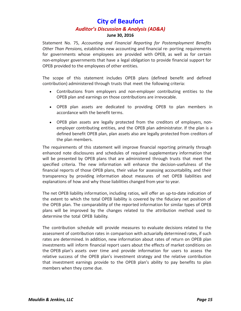#### **June 30, 2016**

Statement No. 75, *Accounting and Financial Reporting for Postemployment Benefits Other Than Pensions,* establishes new accounting and financial re‐ porting requirements for governments whose employees are provided with OPEB, as well as for certain non‐employer governments that have a legal obligation to provide financial support for OPEB provided to the employees of other entities.

The scope of this statement includes OPEB plans (defined benefit and defined contribution) administered through trusts that meet the following criteria:

- Contributions from employers and non‐employer contributing entities to the OPEB plan and earnings on those contributions are irrevocable.
- OPEB plan assets are dedicated to providing OPEB to plan members in accordance with the benefit terms.
- OPEB plan assets are legally protected from the creditors of employers, non‐ employer contributing entities, and the OPEB plan administrator. If the plan is a defined benefit OPEB plan, plan assets also are legally protected from creditors of the plan members.

The requirements of this statement will improve financial reporting primarily through enhanced note disclosures and schedules of required supplementary information that will be presented by OPEB plans that are administered through trusts that meet the specified criteria. The new information will enhance the decision-usefulness of the financial reports of those OPEB plans, their value for assessing accountability, and their transparency by providing information about measures of net OPEB liabilities and explanations of how and why those liabilities changed from year to year.

The net OPEB liability information, including ratios, will offer an up-to-date indication of the extent to which the total OPEB liability is covered by the fiduciary net position of the OPEB plan. The comparability of the reported information for similar types of OPEB plans will be improved by the changes related to the attribution method used to determine the total OPEB liability.

The contribution schedule will provide measures to evaluate decisions related to the assessment of contribution rates in comparison with actuarially determined rates, if such rates are determined. In addition, new information about rates of return on OPEB plan investments will inform financial report users about the effects of market conditions on the OPEB plan's assets over time and provide information for users to assess the relative success of the OPEB plan's investment strategy and the relative contribution that investment earnings provide to the OPEB plan's ability to pay benefits to plan members when they come due.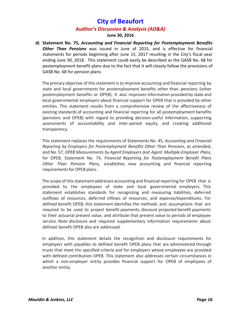#### **June 30, 2016**

**d) Statement No. 75,** *Accounting and Financial Reporting for Postemployment Benefits Other Than Pensions* was issued in June of 2015, and is effective for financial statements for periods beginning after June 15, 2017 resulting in the City's fiscal year ending June 30, 2018. This statement could easily be described as the GASB No. 68 for postemployment benefit plans due to the fact that it will closely follow the provisions of GASB No. 68 for pension plans.

The primary objective of this statement is to improve accounting and financial reporting by state and local governments for postemployment benefits other than pensions (other postemployment benefits or OPEB). It also improves information provided by state and local governmental employers about financial support for OPEB that is provided by other entities. This statement results from a comprehensive review of the effectiveness of existing standards of accounting and financial reporting for all postemployment benefits (pensions and OPEB) with regard to providing decision‐useful information, supporting assessments of accountability and inter‐period equity, and creating additional transparency.

This statement replaces the requirements of Statements No. 45, *Accounting and Financial Reporting by Employers for Postemployment Benefits Other Than Pensions,* as amended, and No. 57, *OPEB Measurements by Agent Employers and Agent Multiple‐Employer Plans,* for OPEB. Statement No. 74, *Financial Reporting for Postemployment Benefit Plans Other Than Pension Plans,* establishes new accounting and financial reporting requirements for OPEB plans.

The scope of this statement addresses accounting and financial reporting for OPEB that is provided to the employees of state and local governmental employers. This statement establishes standards for recognizing and measuring liabilities, deferred outflows of resources, deferred inflows of resources, and expense/expenditures. For defined benefit OPEB, this statement identifies the methods and assumptions that are required to be used to project benefit payments, discount projected benefit payments to their actuarial present value, and attribute that present value to periods of employee service. Note disclosure and required supplementary information requirements about defined benefit OPEB also are addressed.

In addition, this statement details the recognition and disclosure requirements for employers with payables to defined benefit OPEB plans that are administered through trusts that meet the specified criteria and for employers whose employees are provided with defined contribution OPEB. This statement also addresses certain circumstances in which a non-employer entity provides financial support for OPEB of employees of another entity.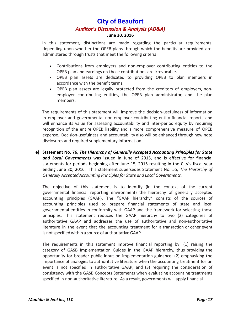#### **June 30, 2016**

In this statement, distinctions are made regarding the particular requirements depending upon whether the OPEB plans through which the benefits are provided are administered through trusts that meet the following criteria:

- Contributions from employers and non‐employer contributing entities to the OPEB plan and earnings on those contributions are irrevocable.
- OPEB plan assets are dedicated to providing OPEB to plan members in accordance with the benefit terms.
- OPEB plan assets are legally protected from the creditors of employers, non‐ employer contributing entities, the OPEB plan administrator, and the plan members.

The requirements of this statement will improve the decision‐usefulness of information in employer and governmental non‐employer contributing entity financial reports and will enhance its value for assessing accountability and inter-period equity by requiring recognition of the entire OPEB liability and a more comprehensive measure of OPEB expense. Decision-usefulness and accountability also will be enhanced through new note disclosures and required supplementary information.

**e) Statement No. 76,** *The Hierarchy of Generally Accepted Accounting Principles for State and Local Governments* was issued in June of 2015, and is effective for financial statements for periods beginning after June 15, 2015 resulting in the City's fiscal year ending June 30, 2016. This statement supersedes Statement No. 55, *The Hierarchy of Generally AcceptedAccounting Principlesfor State and Local Governments.*

The objective of this statement is to identify (in the context of the current governmental financial reporting environment) the hierarchy of generally accepted accounting principles (GAAP). The "GAAP hierarchy" consists of the sources of accounting principles used to prepare financial statements of state and local governmental entities in conformity with GAAP and the framework for selecting those principles. This statement reduces the GAAP hierarchy to two (2) categories of authoritative GAAP and addresses the use of authoritative and non‐authoritative literature in the event that the accounting treatment for a transaction or other event is not specified within a source of authoritative GAAP.

The requirements in this statement improve financial reporting by: (1) raising the category of GASB Implementation Guides in the GAAP hierarchy, thus providing the opportunity for broader public input on implementation guidance; (2) emphasizing the importance of analogies to authoritative literature when the accounting treatment for an event is not specified in authoritative GAAP; and (3) requiring the consideration of consistency with the GASB Concepts Statements when evaluating accounting treatments specified in non-authoritative literature. As a result, governments will apply financial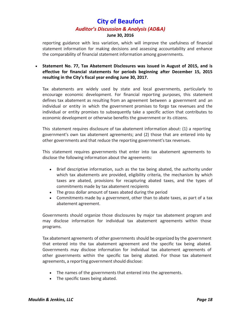#### **June 30, 2016**

reporting guidance with less variation, which will improve the usefulness of financial statement information for making decisions and assessing accountability and enhance the comparability of financial statement information among governments.

 **Statement No. 77, Tax Abatement Disclosures was issued in August of 2015, and is effective for financial statements for periods beginning after December 15, 2015 resulting in the City's fiscal year ending June 30, 2017.** 

Tax abatements are widely used by state and local governments, particularly to encourage economic development. For financial reporting purposes, this statement defines tax abatement as resulting from an agreement between a government and an individual or entity in which the government promises to forgo tax revenues and the individual or entity promises to subsequently take a specific action that contributes to economic development or otherwise benefits the government or its citizens.

This statement requires disclosure of tax abatement information about: (1) a reporting government's own tax abatement agreements; and (2) those that are entered into by other governments and that reduce the reporting government's tax revenues.

This statement requires governments that enter into tax abatement agreements to disclose the following information about the agreements:

- Brief descriptive information, such as the tax being abated, the authority under which tax abatements are provided, eligibility criteria, the mechanism by which taxes are abated, provisions for recapturing abated taxes, and the types of commitments made by tax abatement recipients
- The gross dollar amount of taxes abated during the period
- Commitments made by a government, other than to abate taxes, as part of a tax abatement agreement.

Governments should organize those disclosures by major tax abatement program and may disclose information for individual tax abatement agreements within those programs.

Tax abatement agreements of other governments should be organized by the government that entered into the tax abatement agreement and the specific tax being abated. Governments may disclose information for individual tax abatement agreements of other governments within the specific tax being abated. For those tax abatement agreements, a reporting government should disclose:

- The names of the governments that entered into the agreements.
- The specific taxes being abated.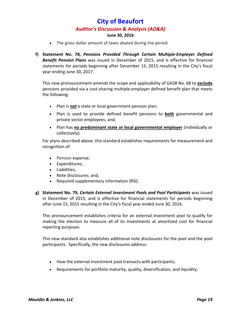#### **June 30, 2016**

- The gross dollar amount of taxes abated during the period.
- **f) Statement No. 78,** *Pensions Provided Through Certain Multiple‐Employer Defined Benefit Pension Plans* was issued in December of 2015, and is effective for financial statements for periods beginning after December 15, 2015 resulting in the City's fiscal year ending June 30, 2017.

This new pronouncement amends the scope and applicability of GASB No. 68 to **exclude** pensions provided via a cost‐sharing multiple‐employer defined benefit plan that meets the following:

- Plan is **not** a state or local government pension plan;
- Plan is used to provide defined benefit pensions to **both** governmental and private sector employees; and,
- Plan has **no predominant state or local governmental employer** (individually or collectively).

For plans described above, this standard establishes requirements for measurement and recognition of:

- Pension expense;
- Expenditures;
- Liabilities;
- Note disclosures; and,
- Required supplementary information (RSI).
- **g) Statement No. 79,** *Certain External Investment Pools and Pool Participants* was issued in December of 2015, and is effective for financial statements for periods beginning after June 15, 2015 resulting in the City's fiscal year ended June 30, 2016.

This pronouncement establishes criteria for an external investment pool to qualify for making the election to measure all of its investments at amortized cost for financial reporting purposes.

This new standard also establishes additional note disclosures for the pool and the pool participants. Specifically, the new disclosures address:

- How the external investment pool transacts with participants;
- Requirements for portfolio maturity, quality, diversification, and liquidity;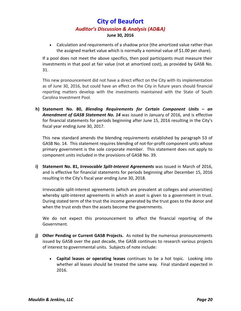Calculation and requirements of a shadow price (the amortized value rather than the assigned market value which is normally a nominal value of \$1.00 per share).

If a pool does not meet the above specifics, then pool participants must measure their investments in that pool at fair value (not at amortized cost), as provided by GASB No. 31.

This new pronouncement did not have a direct effect on the City with its implementation as of June 30, 2016, but could have an effect on the City in future years should financial reporting matters develop with the investments maintained with the State of South Carolina Investment Pool.

**h) Statement No. 80,** *Blending Requirements for Certain Component Units – an Amendment of GASB Statement No. 14* was issued in January of 2016, and is effective for financial statements for periods beginning after June 15, 2016 resulting in the City's fiscal year ending June 30, 2017.

This new standard amends the blending requirements established by paragraph 53 of GASB No. 14. This statement requires blending of not‐for‐profit component units whose primary government is the sole corporate member. This statement does not apply to component units included in the provisions of GASB No. 39.

**i) Statement No. 81,** *Irrevocable Split‐Interest Agreements* was issued in March of 2016, and is effective for financial statements for periods beginning after December 15, 2016 resulting in the City's fiscal year ending June 30, 2018.

Irrevocable split‐interest agreements (which are prevalent at colleges and universities) whereby split-interest agreements in which an asset is given to a government in trust. During stated term of the trust the income generated by the trust goes to the donor and when the trust ends then the assets become the governments.

We do not expect this pronouncement to affect the financial reporting of the Government.

- **j) Other Pending or Current GASB Projects.** As noted by the numerous pronouncements issued by GASB over the past decade, the GASB continues to research various projects of interest to governmental units. Subjects of note include:
	- **Capital leases or operating leases** continues to be a hot topic. Looking into whether all leases should be treated the same way. Final standard expected in 2016.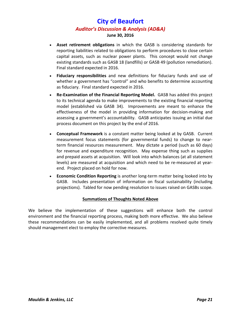- **Asset retirement obligations** in which the GASB is considering standards for reporting liabilities related to obligations to perform procedures to close certain capital assets, such as nuclear power plants. This concept would not change existing standards such as GASB 18 (landfills) or GASB 49 (pollution remediation). Final standard expected in 2016.
- **Fiduciary responsibilities** and new definitions for fiduciary funds and use of whether a government has "control" and who benefits to determine accounting as fiduciary. Final standard expected in 2016.
- **Re‐Examination of the Financial Reporting Model.** GASB has added this project to its technical agenda to make improvements to the existing financial reporting model (established via GASB 34). Improvements are meant to enhance the effectiveness of the model in providing information for decision‐making and assessing a government's accountability. GASB anticipates issuing an initial due process document on this project by the end of 2016.
- **Conceptual Framework** is a constant matter being looked at by GASB. Current measurement focus statements (for governmental funds) to change to near‐ term financial resources measurement. May dictate a period (such as 60 days) for revenue and expenditure recognition. May expense thing such as supplies and prepaid assets at acquisition. Will look into which balances (at all statement levels) are measured at acquisition and which need to be re-measured at yearend. Project placed on hold for now.
- **Economic Condition Reporting** is another long‐term matter being looked into by GASB. Includes presentation of information on fiscal sustainability (including projections). Tabled for now pending resolution to issues raised on GASBs scope.

#### **Summations of Thoughts Noted Above**

We believe the implementation of these suggestions will enhance both the control environment and the financial reporting process, making both more effective. We also believe these recommendations can be easily implemented, and all problems resolved quite timely should management elect to employ the corrective measures.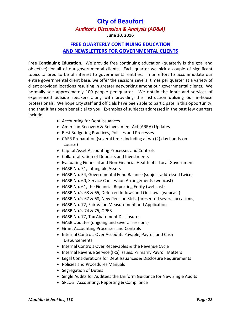#### **June 30, 2016**

### **FREE QUARTERLY CONTINUING EDUCATION AND NEWSLETTERS FOR GOVERNMENTAL CLIENTS**

**Free Continuing Education.** We provide free continuing education (quarterly is the goal and objective) for all of our governmental clients. Each quarter we pick a couple of significant topics tailored to be of interest to governmental entities. In an effort to accommodate our entire governmental client base, we offer the sessions several times per quarter at a variety of client provided locations resulting in greater networking among our governmental clients. We normally see approximately 100 people per quarter. We obtain the input and services of experienced outside speakers along with providing the instruction utilizing our in‐house professionals. We hope City staff and officials have been able to participate in this opportunity, and that it has been beneficial to you. Examples of subjects addressed in the past few quarters include:

- Accounting for Debt Issuances
- American Recovery & Reinvestment Act (ARRA) Updates
- Best Budgeting Practices, Policies and Processes
- CAFR Preparation (several times including a two (2) day hands‐on course)
- Capital Asset Accounting Processes and Controls
- Collateralization of Deposits and Investments
- Evaluating Financial and Non‐Financial Health of a Local Government
- GASB No. 51, Intangible Assets
- GASB No. 54, Governmental Fund Balance (subject addressed twice)
- GASB No. 60, Service Concession Arrangements (webcast)
- GASB No. 61, the Financial Reporting Entity (webcast)
- GASB No.'s 63 & 65, Deferred Inflows and Outflows (webcast)
- GASB No.'s 67 & 68, New Pension Stds. (presented several occasions)
- GASB No. 72, Fair Value Measurement and Application
- GASB No.'s 74 & 75, OPEB
- GASB No. 77, Tax Abatement Disclosures
- GASB Updates (ongoing and several sessions)
- Grant Accounting Processes and Controls
- Internal Controls Over Accounts Payable, Payroll and Cash Disbursements
- Internal Controls Over Receivables & the Revenue Cycle
- Internal Revenue Service (IRS) Issues, Primarily Payroll Matters
- Legal Considerations for Debt Issuances & Disclosure Requirements
- Policies and Procedures Manuals
- Segregation of Duties
- Single Audits for Auditees the Uniform Guidance for New Single Audits
- SPLOST Accounting, Reporting & Compliance